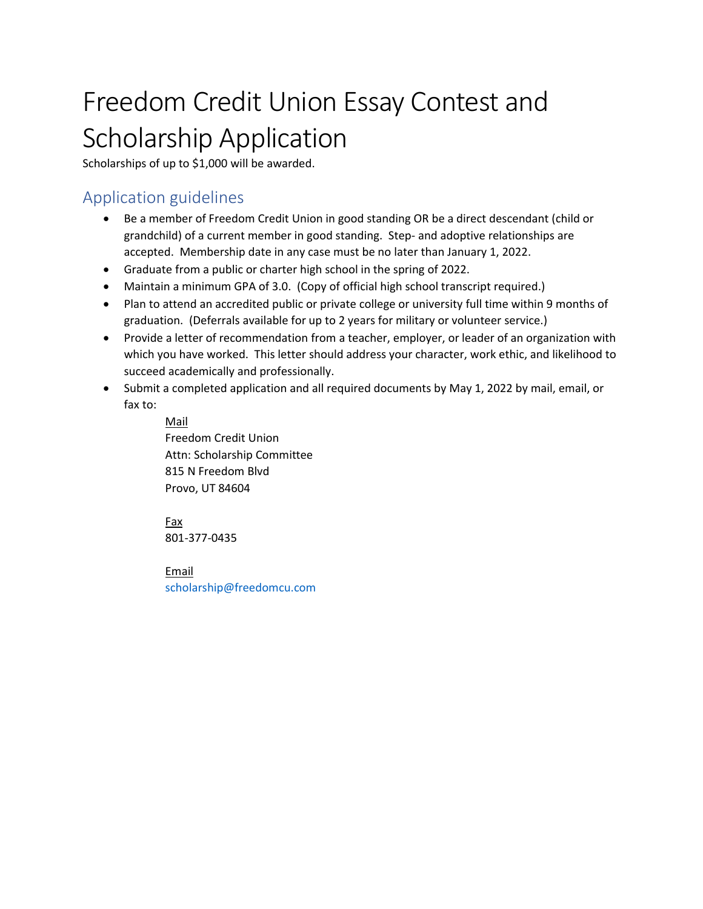# Freedom Credit Union Essay Contest and Scholarship Application

Scholarships of up to \$1,000 will be awarded.

### Application guidelines

- Be a member of Freedom Credit Union in good standing OR be a direct descendant (child or grandchild) of a current member in good standing. Step- and adoptive relationships are accepted. Membership date in any case must be no later than January 1, 2022.
- Graduate from a public or charter high school in the spring of 2022.
- Maintain a minimum GPA of 3.0. (Copy of official high school transcript required.)
- Plan to attend an accredited public or private college or university full time within 9 months of graduation. (Deferrals available for up to 2 years for military or volunteer service.)
- Provide a letter of recommendation from a teacher, employer, or leader of an organization with which you have worked. This letter should address your character, work ethic, and likelihood to succeed academically and professionally.
- Submit a completed application and all required documents by May 1, 2022 by mail, email, or fax to:

Mail Freedom Credit Union Attn: Scholarship Committee 815 N Freedom Blvd Provo, UT 84604

Fax 801-377-0435

Email scholarship@freedomcu.com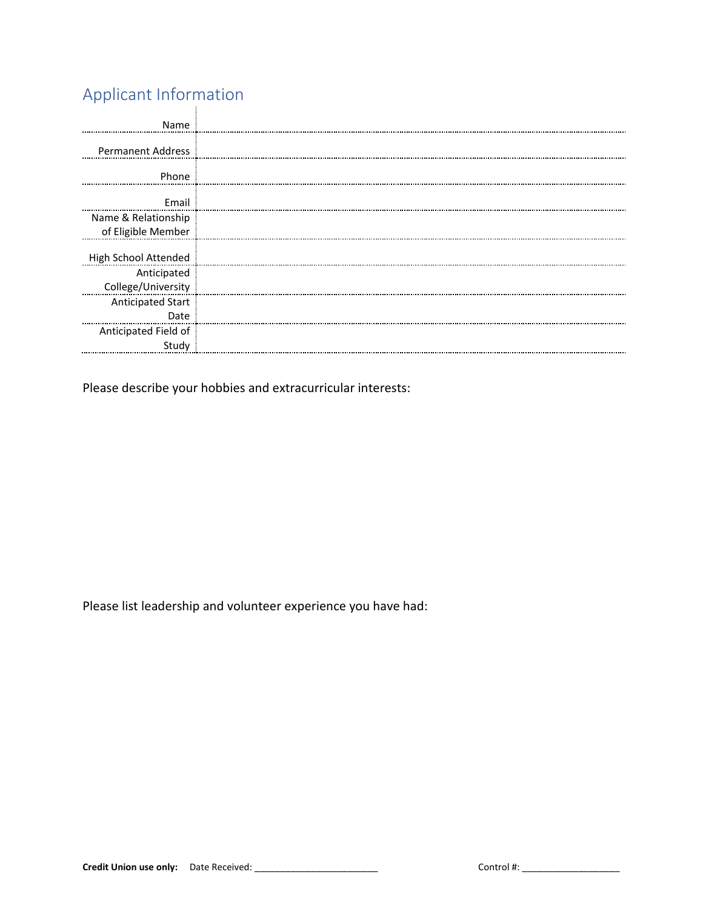## Applicant Information

| Name                              |  |
|-----------------------------------|--|
| <b>Permanent Address</b>          |  |
| Phone                             |  |
| Email                             |  |
| Name & Relationship               |  |
| of Eligible Member                |  |
| High School Attended              |  |
| Anticipated<br>College/University |  |
| <b>Anticipated Start</b>          |  |
| Date<br><br>Anticipated Field of  |  |
| Study                             |  |

Please describe your hobbies and extracurricular interests:

Please list leadership and volunteer experience you have had: